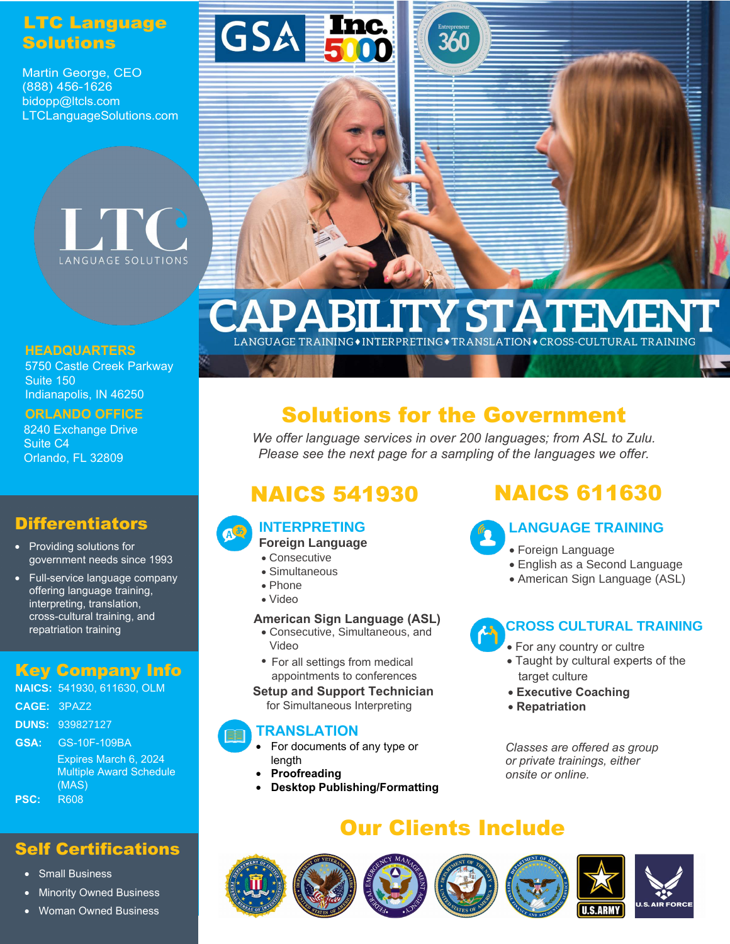### LTC Language **Solutions**

Martin George, CEO (888) 456-1626 bidopp@ltcls.com LTCLanguageSolutions.com



#### **HEADQUARTERS**

5750 Castle Creek Parkway Suite 150 Indianapolis, IN 46250

#### **ORLANDO OFFICE**

8240 Exchange Drive Suite C4 Orlando, FL 32809

#### **Differentiators**

- Providing solutions for government needs since 1993
- Full-service language company offering language training, interpreting, translation, cross-cultural training, and repatriation training

#### Key Company Info

|             | <b>NAICS: 541930, 611630, OLM</b> |
|-------------|-----------------------------------|
| CAGE: 3PAZ2 |                                   |
|             | <b>DUNS: 939827127</b>            |
| GSA:        | GS-10F-109BA                      |
|             | Expires March 6, 2024             |
|             | <b>Multiple Award Schedule</b>    |
|             | (MAS)                             |
| <b>PSC:</b> | R608                              |

#### Self Certifications

- Small Business
- **Minority Owned Business**
- Woman Owned Business



# **CAPABILITY STATEMENT**

# Solutions for the Government

*We offer language services in over 200 languages; from ASL to Zulu. Please see the next page for a sampling of the languages we offer.*

#### **INTERPRETING**

- **Foreign Language**
- Consecutive
- Simultaneous
- Phone
- Video

#### **American Sign Language (ASL)**

- Consecutive, Simultaneous, and Video
- **•** For all settings from medical **(ASL)** appointments to conferences

#### **Setup and Support Technician**

for Simultaneous Interpreting

#### **TRANSLATION**

- For documents of any type or length
- **Proofreading**
- **Desktop Publishing/Formatting**

# NAICS 541930 NAICS 611630

#### **LANGUAGE TRAINING**

- Foreign Language
- English as a Second Language
- American Sign Language (ASL)

#### **CROSS CULTURAL TRAINING**

- **For any country or cultre**
- *trainings as well as onsite or online.* Taught by cultural experts of the target culture
	- **Executive Coaching**
	- **Repatriation**

*Classes are offered as group or private trainings, either onsite or online.*

# Our Clients Include